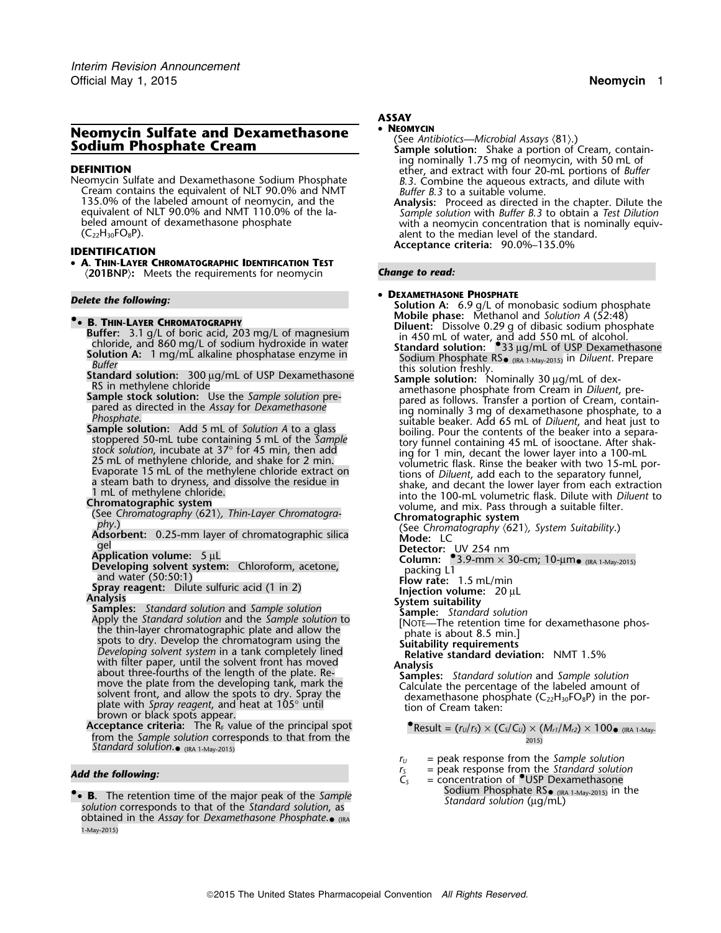# **Neomycin Sulfate and Dexamethasone** • **NEOMYCIN**<br>
Sodium Phosphate Cream **Sodium Phosphate Cream Sample solution:** Shake a portion of Cream, contain-

Neomycian Sulfate and Dexamethas the equivalent of NLT 90.0% and NMT **Buffer B.3** to a suitable volume.<br>The combine of the labeled amount of neomycin, and the **Analysis:** Proceed as directed in 135.0% of the labeled amount of neomycin, and the **Analysis:** Proceed as directed in the chapter. Dilute the

• **A. THIN-LAYER CHROMATOGRAPHIC IDENTIFICATION TEST** 〈**201BNP**〉**:** Meets the requirements for neomycin *Change to read:*

- **B. THIN-LAYER CHROMATOGRAPHY**<br>
Buffer: 3.1 g/L of boric acid, 203 mg/L of magnesium<br>
chloride, and 860 mg/L of sodium hydroxide in water<br>
Solution A: 1 mg/mL alkaline phosphatase enzyme in<br>
Buffer<br>
Buffer<br>
Solution A: 1
	-
	-
	-
	-
	-
	-
	-

Adsorbent: 0.25-mm layer of chromatographic silica<br>
gel<br> **Detector:** UV 254 nm<br> **Developing solvent system:** Chloroform, acetone,<br>
and water (50:50:1)<br>
<br>
Column: <sup>●</sup>3.9-mm × 30-cm; 10-μm• (IRA 1-May-2015)<br>
Flow rate: 1.5

- Developing solvent system: Chloroform, acetone,<br>
and where (50:50:11) and and the sulfuric acid (1 in 2)<br>
Spray reagent: Dillute sulfuric acid (1 in 2)<br>
Spray reagent: Dillute sulfuric acid (1 in 2)<br>
Analysis<br>
Spray reage **Acceptance criteria:** The R<sub>F</sub> value of the principal spot **Acceptance criteria:** The R<sub>F</sub> value of the principal spot
- from the *Sample solution* corresponds to that from the 2015) *Standard solution*. • (IRA 1-May-2015)

• **B.** The retention time of the major peak of the Sample  $solution$  corresponds to that of the *Standard solution*, as obtained in the *Assay* for *Dexamethasone Phosphate*. • (IRA 1-May-2015)

# *.* **ASSAY**

## •

- 
- ing nominally 1.75 mg of neomycin, with 50 mL of **DEFINITION**<br>**Neomycin Sulfate and Dexamethasone Sodium Phosphate ether, and extract with four 20-mL portions of** *Buffer* **<b>Neomycin Sulfate with**
- equivalent of NLT 90.0% and NMT 110.0% of the la- *Sample solution* with *Buffer B.3* to obtain a *Test Dilution* beled amount of dexamethasone phosphate with a neomycin concentration that is nominally equiv-<br>(C<sub>22</sub>H<sub>30</sub>FO<sub>8</sub>P). alent to the median level of the standard. **Acceptance criteria:** 90.0%–135.0% **IDENTIFICATION**

## •

 **<sup>D</sup>EXAMETHASONE PHOSPHATE** *Delete the following:* **Solution A:** 6.9 g/L of monobasic sodium phosphate **Mobile phase:** Methanol and *Solution A* (52:48) **•**

- 
- Solution A: 1 Ing/inL atkaine prosphatase enzyme in Solution fresh) and this solution fresh),<br>
Buffer<br>
Ramethore chiorde this solution freshly.<br>
The sign methylene through a discussion of USP Dexamethasone this solution:
	-

- 
- 
- 
- 
- -

**•** Result =  $(r_U/r_S) \times (C_S/C_U) \times (M_{r1}/M_{r2}) \times 100$  •  $_{(IRA 1-May-}$ 

- *<sup>r</sup><sup>U</sup>* = peak response from the *Sample solution*
- **and the following:**  $r_s =$  peak response from the *Standard solution*  $r_s =$  peak response from the *Standard solution*  $C_s =$  concentration of •.USP Dexamethasone
	- Sodium Phosphate  $RS_{\bullet}$  (IRA 1-May-2015) in the Standard solution ( $\mu$ g/mL)